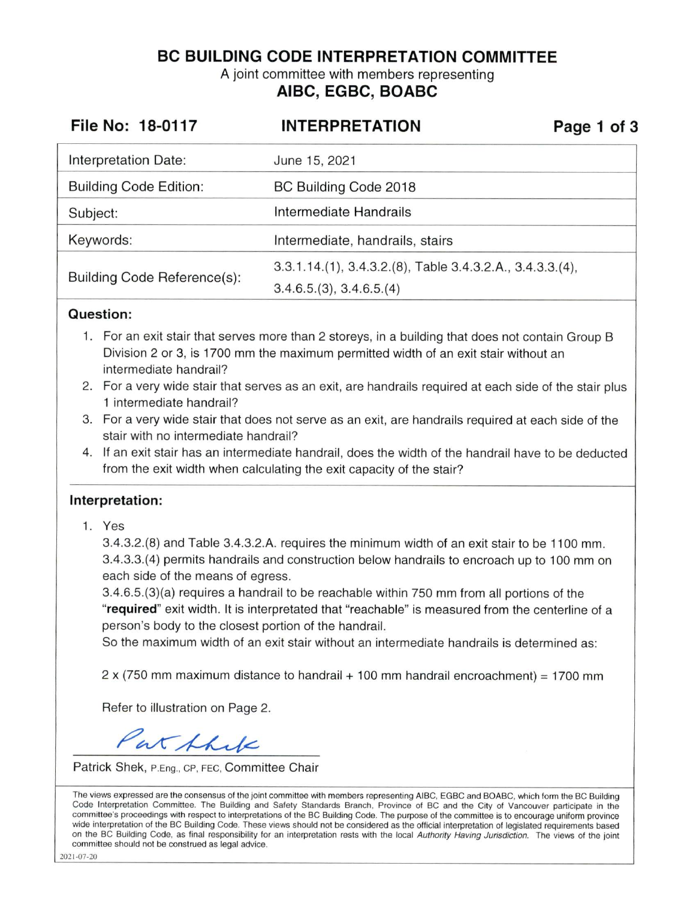**BC BUILDING CODE INTERPRETATION COMMITTEE** 

A joint committee with members representing **AIBC, EGBC, BOABC** 

| File No: 18-0117              | <b>INTERPRETATION</b>                                     | Page 1 of 3 |
|-------------------------------|-----------------------------------------------------------|-------------|
| Interpretation Date:          | June 15, 2021                                             |             |
| <b>Building Code Edition:</b> | BC Building Code 2018                                     |             |
| Subject:                      | Intermediate Handrails                                    |             |
| Keywords:                     | Intermediate, handrails, stairs                           |             |
| Building Code Reference(s):   | 3.3.1.14.(1), 3.4.3.2.(8), Table 3.4.3.2.A., 3.4.3.3.(4), |             |
|                               | 3.4.6.5(3), 3.4.6.5(4)                                    |             |

## **Question:**

- 1. For an exit stair that serves more than 2 storeys, in a building that does not contain Group B Division 2 or 3, is 1700 mm the maximum permitted width of an exit stair without an intermediate handrail?
- 2. For a very wide stair that serves as an exit, are handrails required at each side of the stair plus 1 intermediate handrail?
- 3. For a very wide stair that does not serve as an exit, are handrails required at each side of the stair with no intermediate handrail?
- 4. If an exit stair has an intermediate handrail, does the width of the handrail have to be deducted from the exit width when calculating the exit capacity of the stair?

## **Interpretation:**

1. Yes

3.4.3.2.(8) and Table 3.4.3.2.A. requires the minimum width of an exit stair to be 1100 mm. 3.4.3.3.(4) permits handrails and construction below handrails to encroach up to 100 mm on each side of the means of egress.

3.4.6.5.(3)(a) requires a handrail to be reachable within 750 mm from all portions of the **"required"** exit width. It is interpretated that "reachable" is measured from the centerline of a person's body to the closest portion of the handrail.

So the maximum width of an exit stair without an intermediate handrails is determined as:

2 x (750 mm maximum distance to handrail + 100 mm handrail encroachment) = 1700 mm

Refer to illustration on Page 2.

Pat Shik

Patrick Shek, P.Eng., CP, FEC, Committee Chair

The views expressed are the consensus of the joint committee with members representing AIBC, EGBC and BOABC, which form the BC Building Code Interpretation Committee. The Building and Safety Standards Branch, Province of BC and the City of Vancouver participate in the committee's proceedings with respect to interpretations of the BC Building Code. The purpose of the committee is to encourage uniform province wide interpretation of the BC Building Code. These views should not be considered as the official interpretation of legislated requirements based on the BC Building Code, as final responsibility for an interpretation rests with the local Authority Having Jurisdiction. The views of the joint committee should not be construed as legal advice.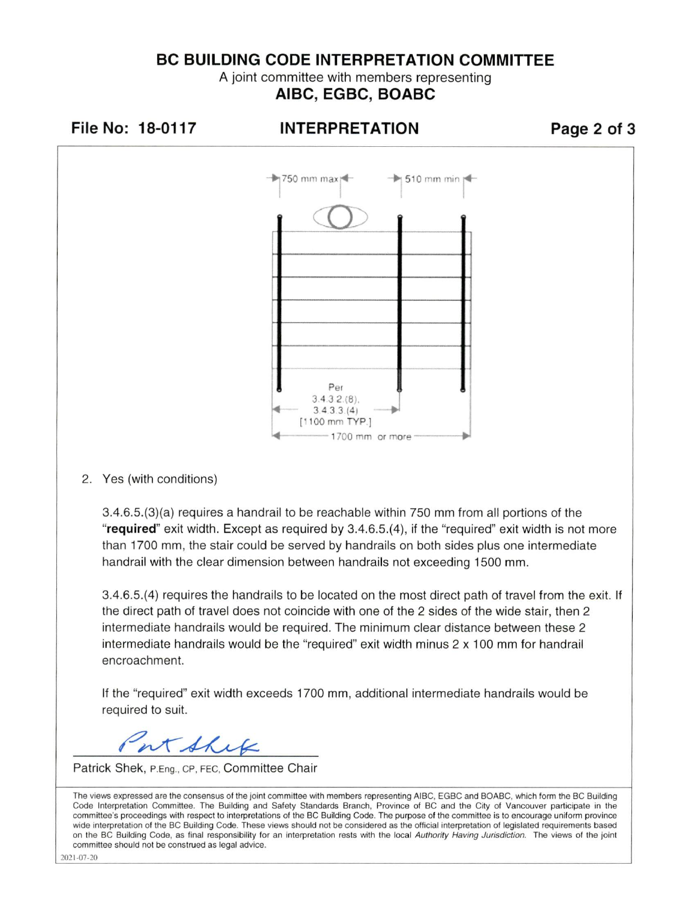## **BC BUILDING CODE INTERPRETATION COMMITTEE**

A joint committee with members representing **AIBC, EGBC, BOABC** 



2. Yes (with conditions)

3.4.6.5.(3)(a) requires a handrail to be reachable within 750 mm from all portions of the **"required"** exit width. Except as required by 3.4.6.5.(4), if the "required" exit width is not more than 1700 mm, the stair could be served by handrails on both sides plus one intermediate handrail with the clear dimension between handrails not exceeding 1500 mm.

3.4.6.5.(4) requires the handrails to be located on the most direct path of travel from the exit. If the direct path of travel does not coincide with one of the 2 sides of the wide stair, then 2 intermediate handrails would be required. The minimum clear distance between these 2 intermediate handrails would be the "required" exit width minus 2 x 100 mm for handrail encroachment.

If the "required" exit width exceeds 1700 mm, additional intermediate handrails would be required to suit.

at Shex

Patrick Shek, P.Eng., CP, FEC, Committee Chair

The **views** expressed are the consensus of the joint committee with members representing AIBC, EGBC and BOABC, which form the BC Building Code Interpretation Committee. The Building and Safety Standards Branch, Province of BC and the City of Vancouver participate in the committee's proceedings with respect to interpretations of the BC Building Code. The purpose of the committee is to encourage uniform province wide interpretation of the BC Building Code. These views should not be considered as the official interpretation of legislated requirements based on the BC Building Code, as final responsibility for an interpretation rests with the local Authority Having Jurisdiction. The views of the joint committee should not be construed as legal advice.